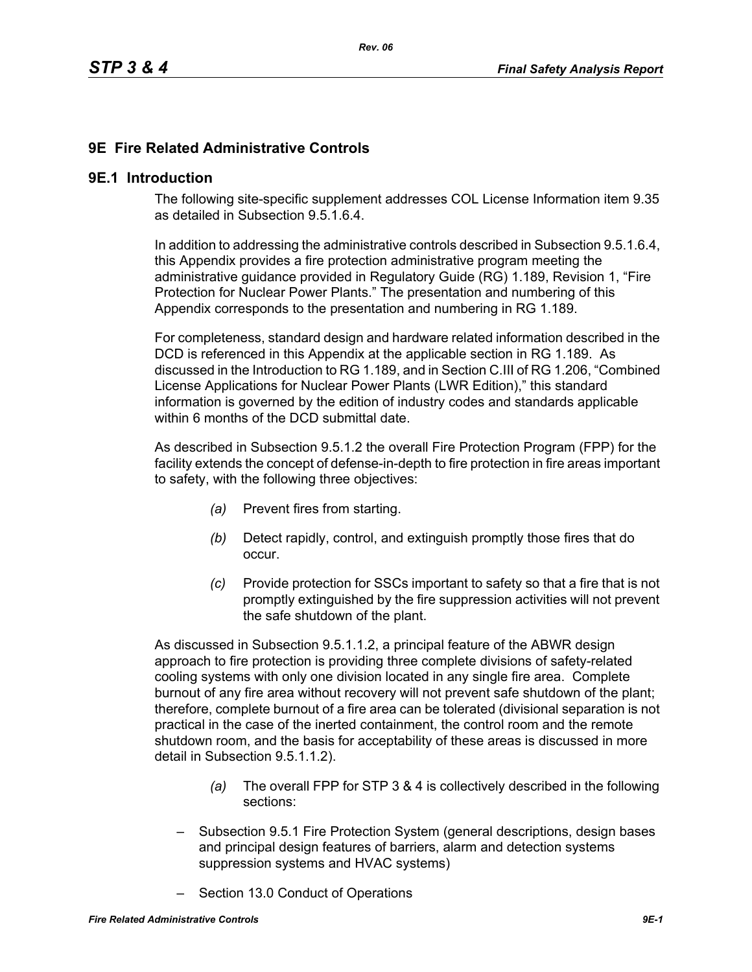# **9E Fire Related Administrative Controls**

#### **9E.1 Introduction**

The following site-specific supplement addresses COL License Information item 9.35 as detailed in Subsection 9.5.1.6.4.

In addition to addressing the administrative controls described in Subsection 9.5.1.6.4, this Appendix provides a fire protection administrative program meeting the administrative guidance provided in Regulatory Guide (RG) 1.189, Revision 1, "Fire Protection for Nuclear Power Plants." The presentation and numbering of this Appendix corresponds to the presentation and numbering in RG 1.189.

For completeness, standard design and hardware related information described in the DCD is referenced in this Appendix at the applicable section in RG 1.189. As discussed in the Introduction to RG 1.189, and in Section C.III of RG 1.206, "Combined License Applications for Nuclear Power Plants (LWR Edition)," this standard information is governed by the edition of industry codes and standards applicable within 6 months of the DCD submittal date.

As described in Subsection 9.5.1.2 the overall Fire Protection Program (FPP) for the facility extends the concept of defense-in-depth to fire protection in fire areas important to safety, with the following three objectives:

- *(a)* Prevent fires from starting.
- *(b)* Detect rapidly, control, and extinguish promptly those fires that do occur.
- *(c)* Provide protection for SSCs important to safety so that a fire that is not promptly extinguished by the fire suppression activities will not prevent the safe shutdown of the plant.

As discussed in Subsection 9.5.1.1.2, a principal feature of the ABWR design approach to fire protection is providing three complete divisions of safety-related cooling systems with only one division located in any single fire area. Complete burnout of any fire area without recovery will not prevent safe shutdown of the plant; therefore, complete burnout of a fire area can be tolerated (divisional separation is not practical in the case of the inerted containment, the control room and the remote shutdown room, and the basis for acceptability of these areas is discussed in more detail in Subsection 9.5.1.1.2).

- *(a)* The overall FPP for STP 3 & 4 is collectively described in the following sections:
- Subsection 9.5.1 Fire Protection System (general descriptions, design bases and principal design features of barriers, alarm and detection systems suppression systems and HVAC systems)
- Section 13.0 Conduct of Operations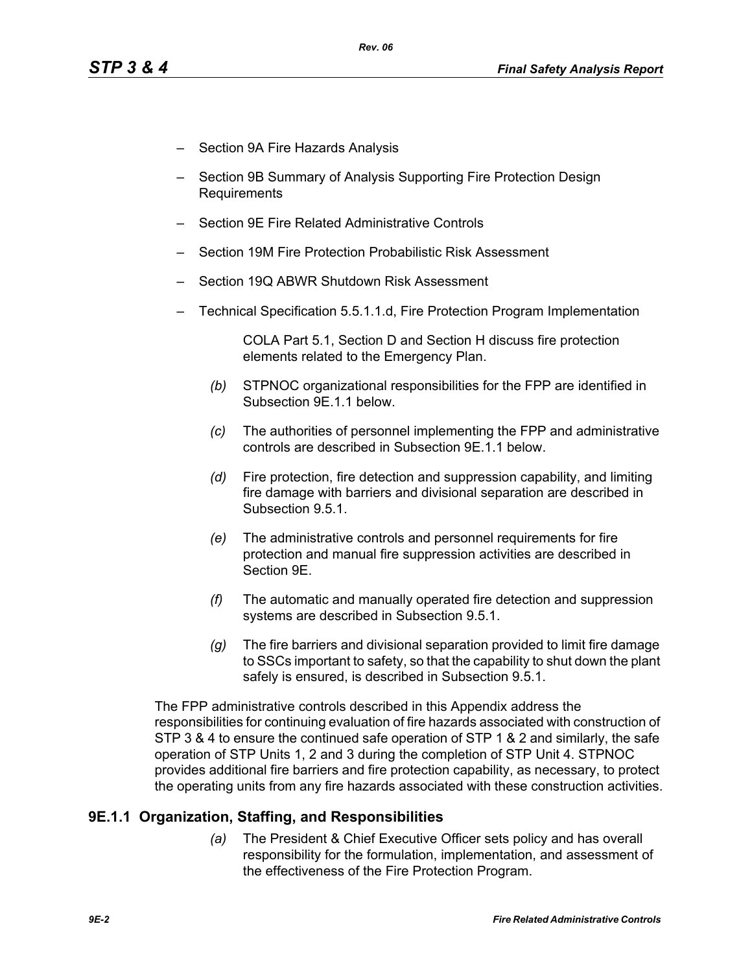- Section 9A Fire Hazards Analysis
- Section 9B Summary of Analysis Supporting Fire Protection Design Requirements
- Section 9E Fire Related Administrative Controls
- Section 19M Fire Protection Probabilistic Risk Assessment
- Section 19Q ABWR Shutdown Risk Assessment
- Technical Specification 5.5.1.1.d, Fire Protection Program Implementation

COLA Part 5.1, Section D and Section H discuss fire protection elements related to the Emergency Plan.

- *(b)* STPNOC organizational responsibilities for the FPP are identified in Subsection 9E.1.1 below.
- *(c)* The authorities of personnel implementing the FPP and administrative controls are described in Subsection 9E.1.1 below.
- *(d)* Fire protection, fire detection and suppression capability, and limiting fire damage with barriers and divisional separation are described in Subsection 9.5.1.
- *(e)* The administrative controls and personnel requirements for fire protection and manual fire suppression activities are described in Section 9E.
- *(f)* The automatic and manually operated fire detection and suppression systems are described in Subsection 9.5.1.
- *(g)* The fire barriers and divisional separation provided to limit fire damage to SSCs important to safety, so that the capability to shut down the plant safely is ensured, is described in Subsection 9.5.1.

The FPP administrative controls described in this Appendix address the responsibilities for continuing evaluation of fire hazards associated with construction of STP 3 & 4 to ensure the continued safe operation of STP 1 & 2 and similarly, the safe operation of STP Units 1, 2 and 3 during the completion of STP Unit 4. STPNOC provides additional fire barriers and fire protection capability, as necessary, to protect the operating units from any fire hazards associated with these construction activities.

## **9E.1.1 Organization, Staffing, and Responsibilities**

*(a)* The President & Chief Executive Officer sets policy and has overall responsibility for the formulation, implementation, and assessment of the effectiveness of the Fire Protection Program.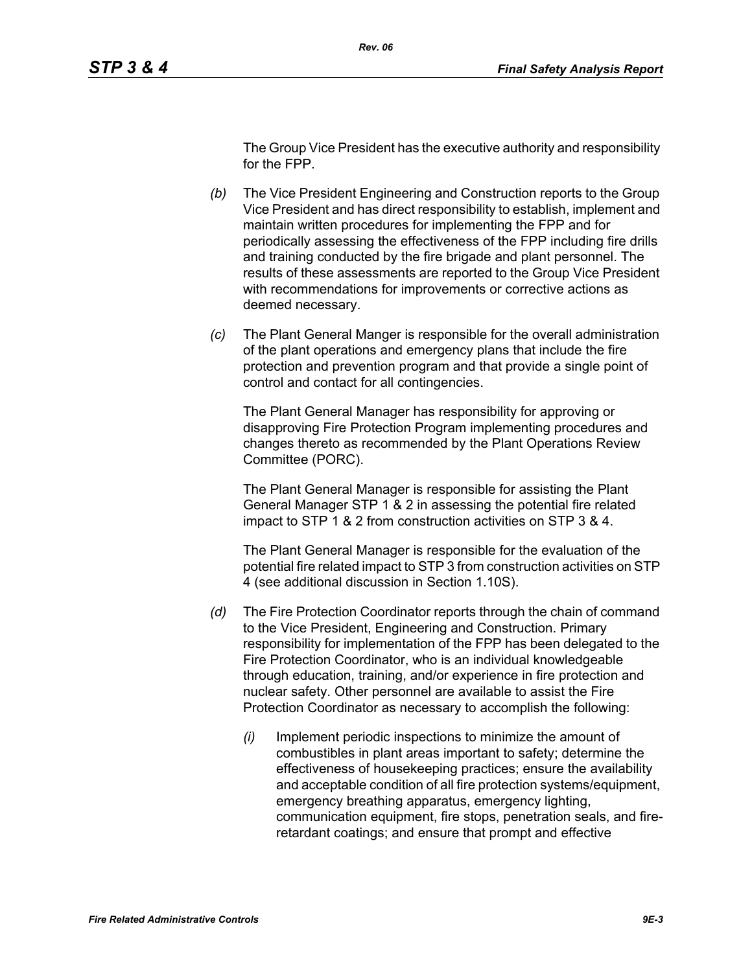The Group Vice President has the executive authority and responsibility for the FPP.

- *(b)* The Vice President Engineering and Construction reports to the Group Vice President and has direct responsibility to establish, implement and maintain written procedures for implementing the FPP and for periodically assessing the effectiveness of the FPP including fire drills and training conducted by the fire brigade and plant personnel. The results of these assessments are reported to the Group Vice President with recommendations for improvements or corrective actions as deemed necessary.
- *(c)* The Plant General Manger is responsible for the overall administration of the plant operations and emergency plans that include the fire protection and prevention program and that provide a single point of control and contact for all contingencies.

The Plant General Manager has responsibility for approving or disapproving Fire Protection Program implementing procedures and changes thereto as recommended by the Plant Operations Review Committee (PORC).

The Plant General Manager is responsible for assisting the Plant General Manager STP 1 & 2 in assessing the potential fire related impact to STP 1 & 2 from construction activities on STP 3 & 4.

The Plant General Manager is responsible for the evaluation of the potential fire related impact to STP 3 from construction activities on STP 4 (see additional discussion in Section 1.10S).

- *(d)* The Fire Protection Coordinator reports through the chain of command to the Vice President, Engineering and Construction. Primary responsibility for implementation of the FPP has been delegated to the Fire Protection Coordinator, who is an individual knowledgeable through education, training, and/or experience in fire protection and nuclear safety. Other personnel are available to assist the Fire Protection Coordinator as necessary to accomplish the following:
	- *(i)* Implement periodic inspections to minimize the amount of combustibles in plant areas important to safety; determine the effectiveness of housekeeping practices; ensure the availability and acceptable condition of all fire protection systems/equipment, emergency breathing apparatus, emergency lighting, communication equipment, fire stops, penetration seals, and fireretardant coatings; and ensure that prompt and effective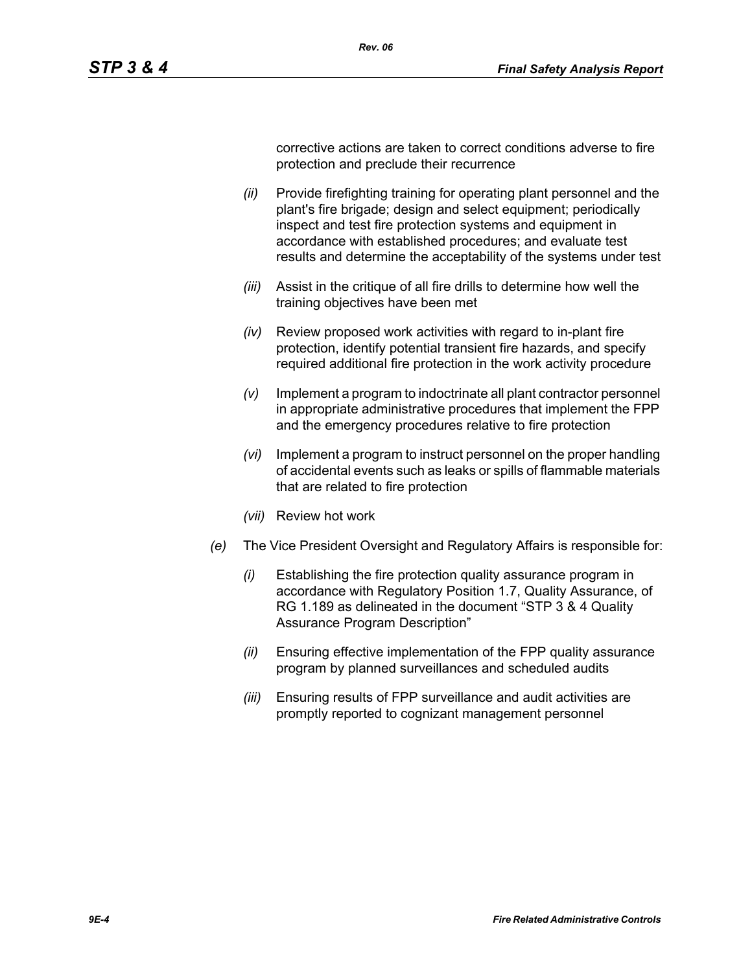corrective actions are taken to correct conditions adverse to fire protection and preclude their recurrence

- *(ii)* Provide firefighting training for operating plant personnel and the plant's fire brigade; design and select equipment; periodically inspect and test fire protection systems and equipment in accordance with established procedures; and evaluate test results and determine the acceptability of the systems under test
- *(iii)* Assist in the critique of all fire drills to determine how well the training objectives have been met
- *(iv)* Review proposed work activities with regard to in-plant fire protection, identify potential transient fire hazards, and specify required additional fire protection in the work activity procedure
- *(v)* Implement a program to indoctrinate all plant contractor personnel in appropriate administrative procedures that implement the FPP and the emergency procedures relative to fire protection
- *(vi)* Implement a program to instruct personnel on the proper handling of accidental events such as leaks or spills of flammable materials that are related to fire protection
- *(vii)* Review hot work
- *(e)* The Vice President Oversight and Regulatory Affairs is responsible for:
	- *(i)* Establishing the fire protection quality assurance program in accordance with Regulatory Position 1.7, Quality Assurance, of RG 1.189 as delineated in the document "STP 3 & 4 Quality Assurance Program Description"
	- *(ii)* Ensuring effective implementation of the FPP quality assurance program by planned surveillances and scheduled audits
	- *(iii)* Ensuring results of FPP surveillance and audit activities are promptly reported to cognizant management personnel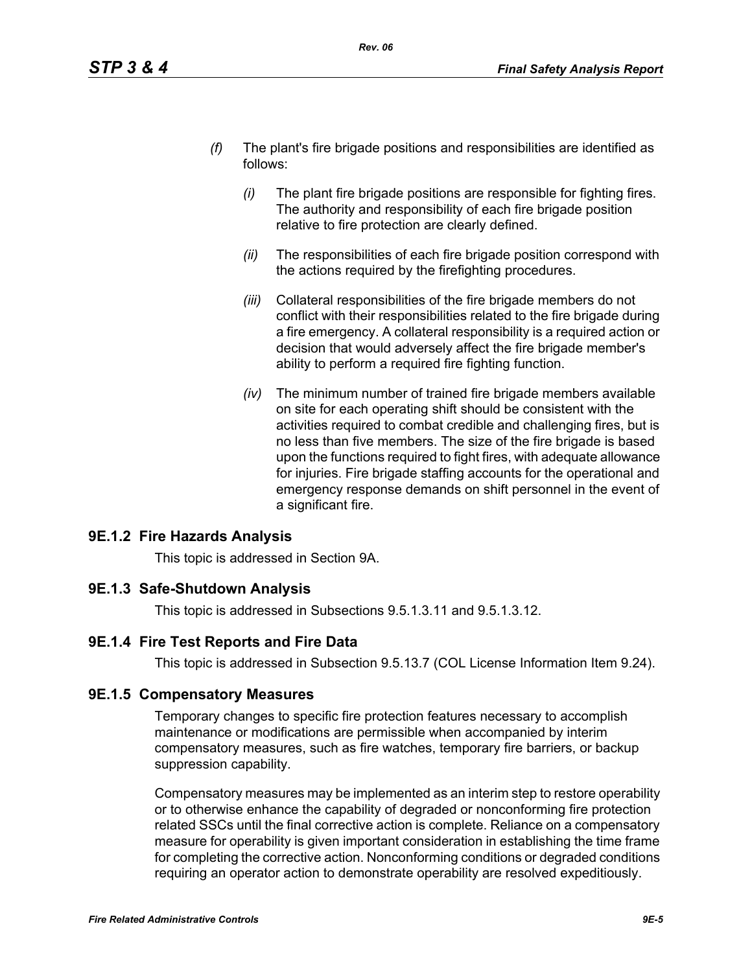- *(f)* The plant's fire brigade positions and responsibilities are identified as follows:
	- *(i)* The plant fire brigade positions are responsible for fighting fires. The authority and responsibility of each fire brigade position relative to fire protection are clearly defined.
	- *(ii)* The responsibilities of each fire brigade position correspond with the actions required by the firefighting procedures.
	- *(iii)* Collateral responsibilities of the fire brigade members do not conflict with their responsibilities related to the fire brigade during a fire emergency. A collateral responsibility is a required action or decision that would adversely affect the fire brigade member's ability to perform a required fire fighting function.
	- *(iv)* The minimum number of trained fire brigade members available on site for each operating shift should be consistent with the activities required to combat credible and challenging fires, but is no less than five members. The size of the fire brigade is based upon the functions required to fight fires, with adequate allowance for injuries. Fire brigade staffing accounts for the operational and emergency response demands on shift personnel in the event of a significant fire.

## **9E.1.2 Fire Hazards Analysis**

This topic is addressed in Section 9A.

## **9E.1.3 Safe-Shutdown Analysis**

This topic is addressed in Subsections 9.5.1.3.11 and 9.5.1.3.12.

## **9E.1.4 Fire Test Reports and Fire Data**

This topic is addressed in Subsection 9.5.13.7 (COL License Information Item 9.24).

## **9E.1.5 Compensatory Measures**

Temporary changes to specific fire protection features necessary to accomplish maintenance or modifications are permissible when accompanied by interim compensatory measures, such as fire watches, temporary fire barriers, or backup suppression capability.

Compensatory measures may be implemented as an interim step to restore operability or to otherwise enhance the capability of degraded or nonconforming fire protection related SSCs until the final corrective action is complete. Reliance on a compensatory measure for operability is given important consideration in establishing the time frame for completing the corrective action. Nonconforming conditions or degraded conditions requiring an operator action to demonstrate operability are resolved expeditiously.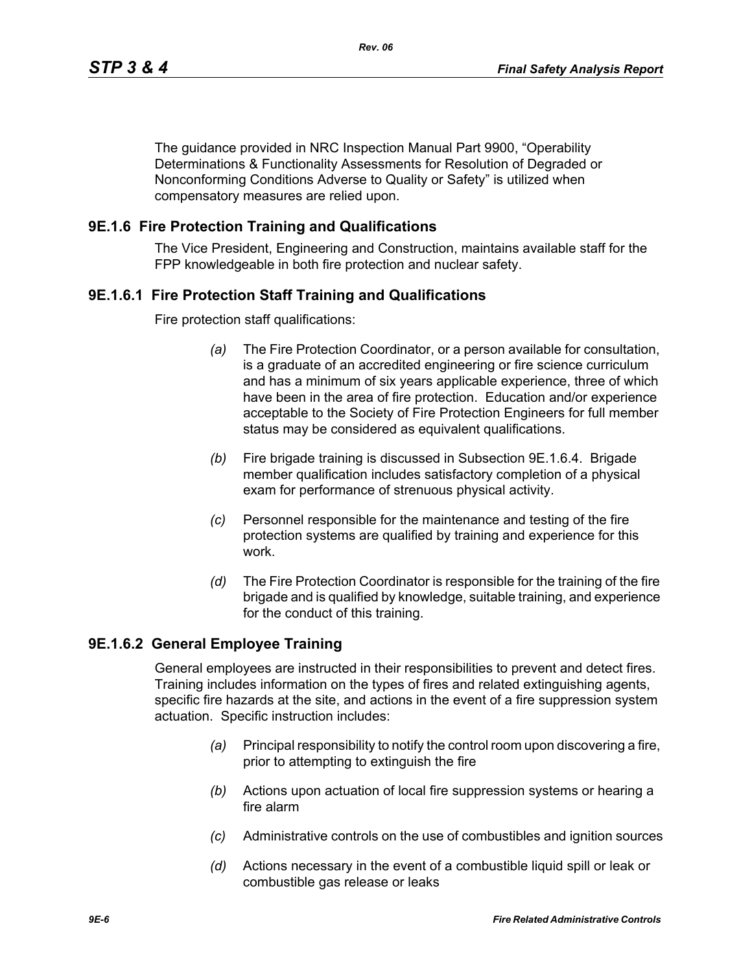The guidance provided in NRC Inspection Manual Part 9900, "Operability Determinations & Functionality Assessments for Resolution of Degraded or Nonconforming Conditions Adverse to Quality or Safety" is utilized when compensatory measures are relied upon.

### **9E.1.6 Fire Protection Training and Qualifications**

The Vice President, Engineering and Construction, maintains available staff for the FPP knowledgeable in both fire protection and nuclear safety.

### **9E.1.6.1 Fire Protection Staff Training and Qualifications**

Fire protection staff qualifications:

- *(a)* The Fire Protection Coordinator, or a person available for consultation, is a graduate of an accredited engineering or fire science curriculum and has a minimum of six years applicable experience, three of which have been in the area of fire protection. Education and/or experience acceptable to the Society of Fire Protection Engineers for full member status may be considered as equivalent qualifications.
- *(b)* Fire brigade training is discussed in Subsection 9E.1.6.4. Brigade member qualification includes satisfactory completion of a physical exam for performance of strenuous physical activity.
- *(c)* Personnel responsible for the maintenance and testing of the fire protection systems are qualified by training and experience for this work.
- *(d)* The Fire Protection Coordinator is responsible for the training of the fire brigade and is qualified by knowledge, suitable training, and experience for the conduct of this training.

#### **9E.1.6.2 General Employee Training**

General employees are instructed in their responsibilities to prevent and detect fires. Training includes information on the types of fires and related extinguishing agents, specific fire hazards at the site, and actions in the event of a fire suppression system actuation. Specific instruction includes:

- *(a)* Principal responsibility to notify the control room upon discovering a fire, prior to attempting to extinguish the fire
- *(b)* Actions upon actuation of local fire suppression systems or hearing a fire alarm
- *(c)* Administrative controls on the use of combustibles and ignition sources
- *(d)* Actions necessary in the event of a combustible liquid spill or leak or combustible gas release or leaks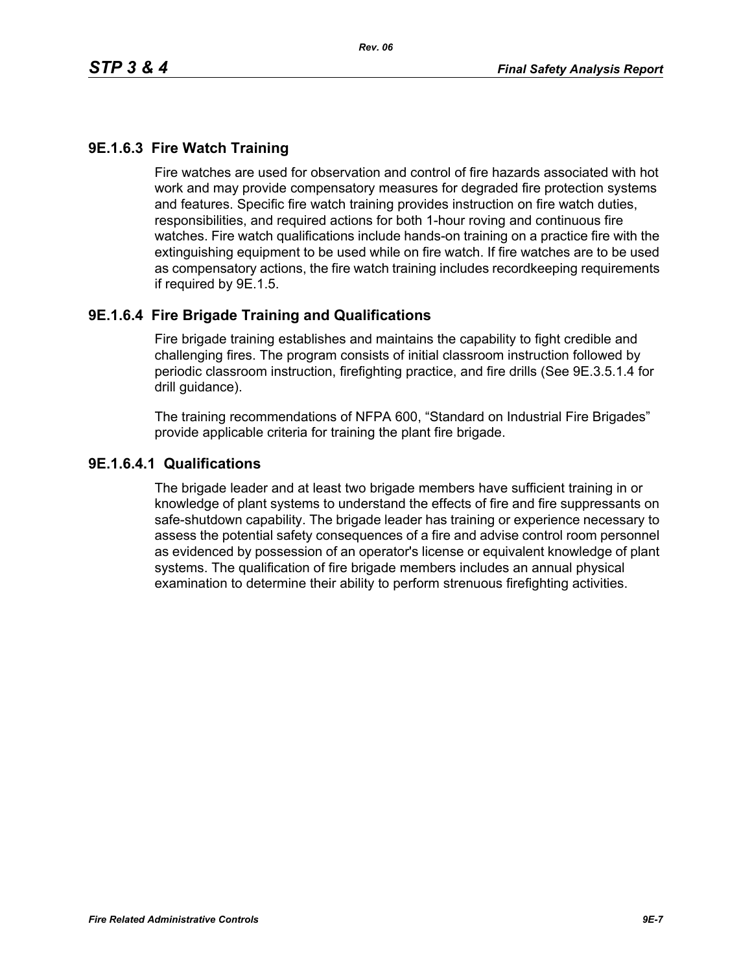# **9E.1.6.3 Fire Watch Training**

Fire watches are used for observation and control of fire hazards associated with hot work and may provide compensatory measures for degraded fire protection systems and features. Specific fire watch training provides instruction on fire watch duties, responsibilities, and required actions for both 1-hour roving and continuous fire watches. Fire watch qualifications include hands-on training on a practice fire with the extinguishing equipment to be used while on fire watch. If fire watches are to be used as compensatory actions, the fire watch training includes recordkeeping requirements if required by 9E.1.5.

### **9E.1.6.4 Fire Brigade Training and Qualifications**

Fire brigade training establishes and maintains the capability to fight credible and challenging fires. The program consists of initial classroom instruction followed by periodic classroom instruction, firefighting practice, and fire drills (See 9E.3.5.1.4 for drill guidance).

The training recommendations of NFPA 600, "Standard on Industrial Fire Brigades" provide applicable criteria for training the plant fire brigade.

#### **9E.1.6.4.1 Qualifications**

The brigade leader and at least two brigade members have sufficient training in or knowledge of plant systems to understand the effects of fire and fire suppressants on safe-shutdown capability. The brigade leader has training or experience necessary to assess the potential safety consequences of a fire and advise control room personnel as evidenced by possession of an operator's license or equivalent knowledge of plant systems. The qualification of fire brigade members includes an annual physical examination to determine their ability to perform strenuous firefighting activities.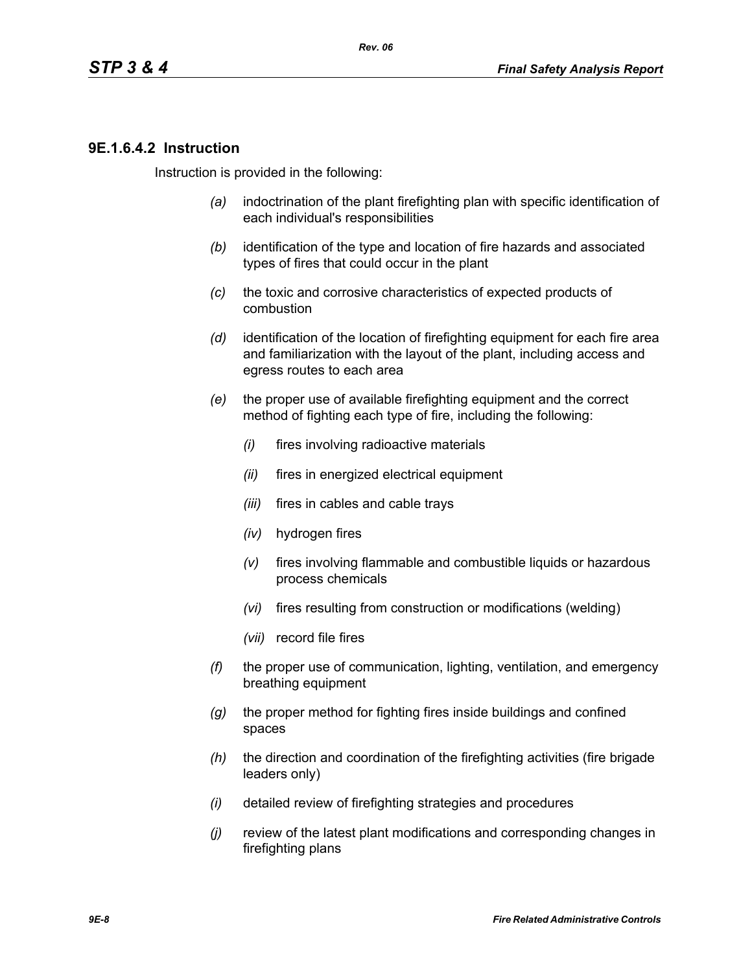### **9E.1.6.4.2 Instruction**

Instruction is provided in the following:

- *(a)* indoctrination of the plant firefighting plan with specific identification of each individual's responsibilities
- *(b)* identification of the type and location of fire hazards and associated types of fires that could occur in the plant
- *(c)* the toxic and corrosive characteristics of expected products of combustion
- *(d)* identification of the location of firefighting equipment for each fire area and familiarization with the layout of the plant, including access and egress routes to each area
- *(e)* the proper use of available firefighting equipment and the correct method of fighting each type of fire, including the following:
	- *(i)* fires involving radioactive materials
	- *(ii)* fires in energized electrical equipment
	- *(iii)* fires in cables and cable trays
	- *(iv)* hydrogen fires
	- *(v)* fires involving flammable and combustible liquids or hazardous process chemicals
	- *(vi)* fires resulting from construction or modifications (welding)
	- *(vii)* record file fires
- *(f)* the proper use of communication, lighting, ventilation, and emergency breathing equipment
- *(g)* the proper method for fighting fires inside buildings and confined spaces
- *(h)* the direction and coordination of the firefighting activities (fire brigade leaders only)
- *(i)* detailed review of firefighting strategies and procedures
- *(j)* review of the latest plant modifications and corresponding changes in firefighting plans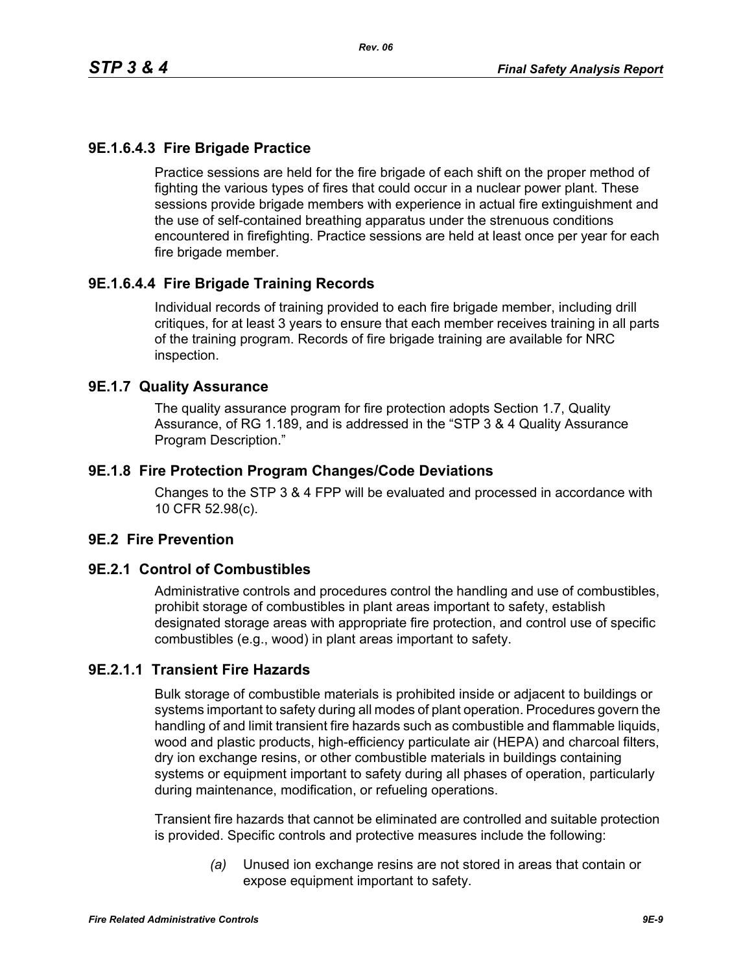# **9E.1.6.4.3 Fire Brigade Practice**

Practice sessions are held for the fire brigade of each shift on the proper method of fighting the various types of fires that could occur in a nuclear power plant. These sessions provide brigade members with experience in actual fire extinguishment and the use of self-contained breathing apparatus under the strenuous conditions encountered in firefighting. Practice sessions are held at least once per year for each fire brigade member.

# **9E.1.6.4.4 Fire Brigade Training Records**

Individual records of training provided to each fire brigade member, including drill critiques, for at least 3 years to ensure that each member receives training in all parts of the training program. Records of fire brigade training are available for NRC inspection.

#### **9E.1.7 Quality Assurance**

The quality assurance program for fire protection adopts Section 1.7, Quality Assurance, of RG 1.189, and is addressed in the "STP 3 & 4 Quality Assurance Program Description."

### **9E.1.8 Fire Protection Program Changes/Code Deviations**

Changes to the STP 3 & 4 FPP will be evaluated and processed in accordance with 10 CFR 52.98(c).

## **9E.2 Fire Prevention**

#### **9E.2.1 Control of Combustibles**

Administrative controls and procedures control the handling and use of combustibles, prohibit storage of combustibles in plant areas important to safety, establish designated storage areas with appropriate fire protection, and control use of specific combustibles (e.g., wood) in plant areas important to safety.

## **9E.2.1.1 Transient Fire Hazards**

Bulk storage of combustible materials is prohibited inside or adjacent to buildings or systems important to safety during all modes of plant operation. Procedures govern the handling of and limit transient fire hazards such as combustible and flammable liquids, wood and plastic products, high-efficiency particulate air (HEPA) and charcoal filters, dry ion exchange resins, or other combustible materials in buildings containing systems or equipment important to safety during all phases of operation, particularly during maintenance, modification, or refueling operations.

Transient fire hazards that cannot be eliminated are controlled and suitable protection is provided. Specific controls and protective measures include the following:

> *(a)* Unused ion exchange resins are not stored in areas that contain or expose equipment important to safety.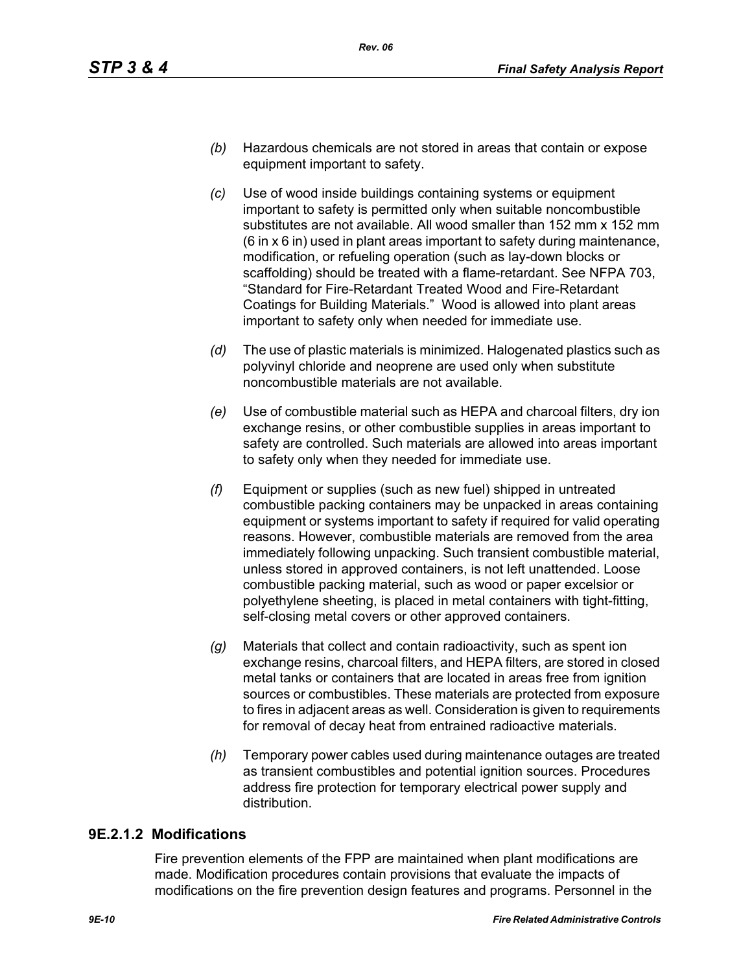- *(b)* Hazardous chemicals are not stored in areas that contain or expose equipment important to safety.
- *(c)* Use of wood inside buildings containing systems or equipment important to safety is permitted only when suitable noncombustible substitutes are not available. All wood smaller than 152 mm x 152 mm (6 in x 6 in) used in plant areas important to safety during maintenance, modification, or refueling operation (such as lay-down blocks or scaffolding) should be treated with a flame-retardant. See NFPA 703, "Standard for Fire-Retardant Treated Wood and Fire-Retardant Coatings for Building Materials." Wood is allowed into plant areas important to safety only when needed for immediate use.
- *(d)* The use of plastic materials is minimized. Halogenated plastics such as polyvinyl chloride and neoprene are used only when substitute noncombustible materials are not available.
- *(e)* Use of combustible material such as HEPA and charcoal filters, dry ion exchange resins, or other combustible supplies in areas important to safety are controlled. Such materials are allowed into areas important to safety only when they needed for immediate use.
- *(f)* Equipment or supplies (such as new fuel) shipped in untreated combustible packing containers may be unpacked in areas containing equipment or systems important to safety if required for valid operating reasons. However, combustible materials are removed from the area immediately following unpacking. Such transient combustible material, unless stored in approved containers, is not left unattended. Loose combustible packing material, such as wood or paper excelsior or polyethylene sheeting, is placed in metal containers with tight-fitting, self-closing metal covers or other approved containers.
- *(g)* Materials that collect and contain radioactivity, such as spent ion exchange resins, charcoal filters, and HEPA filters, are stored in closed metal tanks or containers that are located in areas free from ignition sources or combustibles. These materials are protected from exposure to fires in adjacent areas as well. Consideration is given to requirements for removal of decay heat from entrained radioactive materials.
- *(h)* Temporary power cables used during maintenance outages are treated as transient combustibles and potential ignition sources. Procedures address fire protection for temporary electrical power supply and distribution.

## **9E.2.1.2 Modifications**

Fire prevention elements of the FPP are maintained when plant modifications are made. Modification procedures contain provisions that evaluate the impacts of modifications on the fire prevention design features and programs. Personnel in the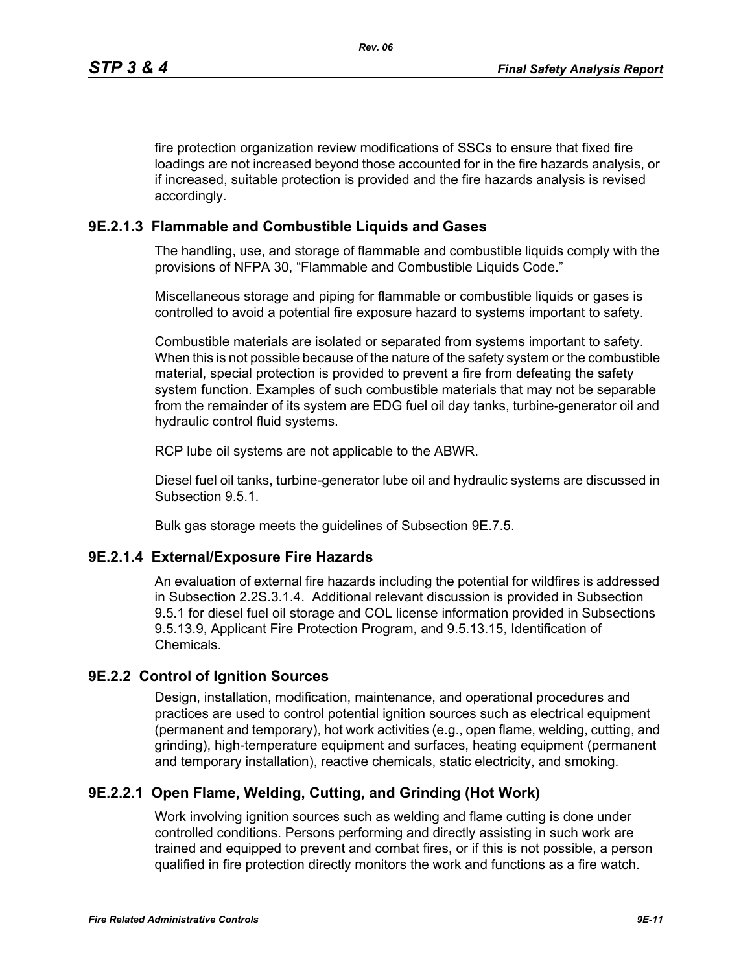fire protection organization review modifications of SSCs to ensure that fixed fire loadings are not increased beyond those accounted for in the fire hazards analysis, or if increased, suitable protection is provided and the fire hazards analysis is revised accordingly.

# **9E.2.1.3 Flammable and Combustible Liquids and Gases**

The handling, use, and storage of flammable and combustible liquids comply with the provisions of NFPA 30, "Flammable and Combustible Liquids Code."

Miscellaneous storage and piping for flammable or combustible liquids or gases is controlled to avoid a potential fire exposure hazard to systems important to safety.

Combustible materials are isolated or separated from systems important to safety. When this is not possible because of the nature of the safety system or the combustible material, special protection is provided to prevent a fire from defeating the safety system function. Examples of such combustible materials that may not be separable from the remainder of its system are EDG fuel oil day tanks, turbine-generator oil and hydraulic control fluid systems.

RCP lube oil systems are not applicable to the ABWR.

Diesel fuel oil tanks, turbine-generator lube oil and hydraulic systems are discussed in Subsection 9.5.1.

Bulk gas storage meets the guidelines of Subsection 9E.7.5.

## **9E.2.1.4 External/Exposure Fire Hazards**

An evaluation of external fire hazards including the potential for wildfires is addressed in Subsection 2.2S.3.1.4. Additional relevant discussion is provided in Subsection 9.5.1 for diesel fuel oil storage and COL license information provided in Subsections 9.5.13.9, Applicant Fire Protection Program, and 9.5.13.15, Identification of Chemicals.

## **9E.2.2 Control of Ignition Sources**

Design, installation, modification, maintenance, and operational procedures and practices are used to control potential ignition sources such as electrical equipment (permanent and temporary), hot work activities (e.g., open flame, welding, cutting, and grinding), high-temperature equipment and surfaces, heating equipment (permanent and temporary installation), reactive chemicals, static electricity, and smoking.

## **9E.2.2.1 Open Flame, Welding, Cutting, and Grinding (Hot Work)**

Work involving ignition sources such as welding and flame cutting is done under controlled conditions. Persons performing and directly assisting in such work are trained and equipped to prevent and combat fires, or if this is not possible, a person qualified in fire protection directly monitors the work and functions as a fire watch.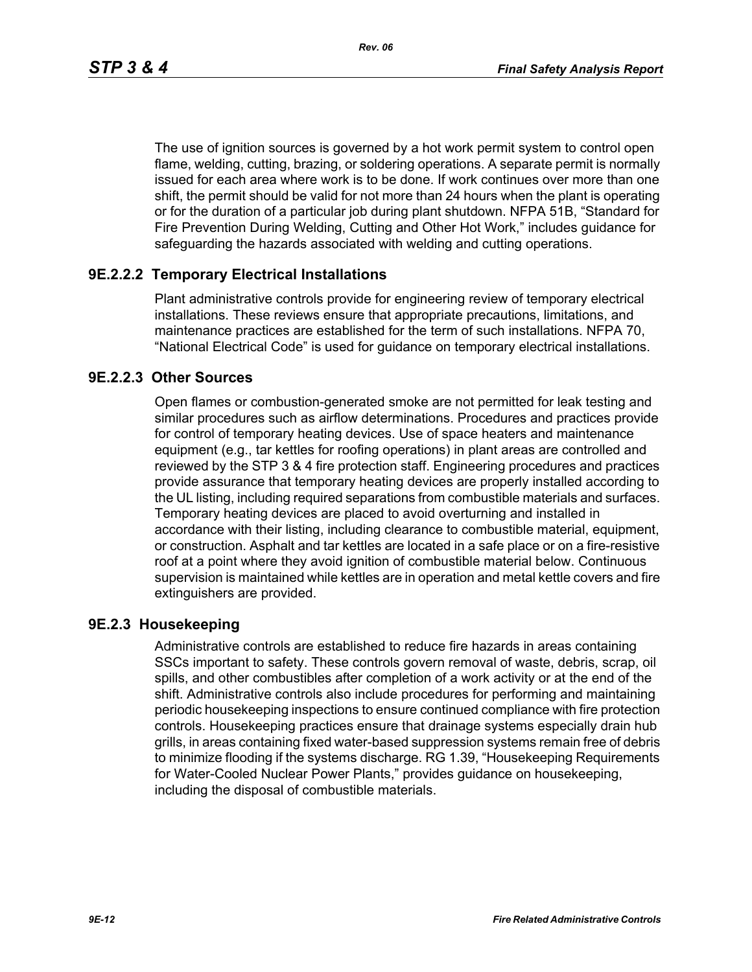*Rev. 06*

The use of ignition sources is governed by a hot work permit system to control open flame, welding, cutting, brazing, or soldering operations. A separate permit is normally issued for each area where work is to be done. If work continues over more than one shift, the permit should be valid for not more than 24 hours when the plant is operating or for the duration of a particular job during plant shutdown. NFPA 51B, "Standard for Fire Prevention During Welding, Cutting and Other Hot Work," includes guidance for safeguarding the hazards associated with welding and cutting operations.

## **9E.2.2.2 Temporary Electrical Installations**

Plant administrative controls provide for engineering review of temporary electrical installations. These reviews ensure that appropriate precautions, limitations, and maintenance practices are established for the term of such installations. NFPA 70, "National Electrical Code" is used for guidance on temporary electrical installations.

## **9E.2.2.3 Other Sources**

Open flames or combustion-generated smoke are not permitted for leak testing and similar procedures such as airflow determinations. Procedures and practices provide for control of temporary heating devices. Use of space heaters and maintenance equipment (e.g., tar kettles for roofing operations) in plant areas are controlled and reviewed by the STP 3 & 4 fire protection staff. Engineering procedures and practices provide assurance that temporary heating devices are properly installed according to the UL listing, including required separations from combustible materials and surfaces. Temporary heating devices are placed to avoid overturning and installed in accordance with their listing, including clearance to combustible material, equipment, or construction. Asphalt and tar kettles are located in a safe place or on a fire-resistive roof at a point where they avoid ignition of combustible material below. Continuous supervision is maintained while kettles are in operation and metal kettle covers and fire extinguishers are provided.

## **9E.2.3 Housekeeping**

Administrative controls are established to reduce fire hazards in areas containing SSCs important to safety. These controls govern removal of waste, debris, scrap, oil spills, and other combustibles after completion of a work activity or at the end of the shift. Administrative controls also include procedures for performing and maintaining periodic housekeeping inspections to ensure continued compliance with fire protection controls. Housekeeping practices ensure that drainage systems especially drain hub grills, in areas containing fixed water-based suppression systems remain free of debris to minimize flooding if the systems discharge. RG 1.39, "Housekeeping Requirements for Water-Cooled Nuclear Power Plants," provides guidance on housekeeping, including the disposal of combustible materials.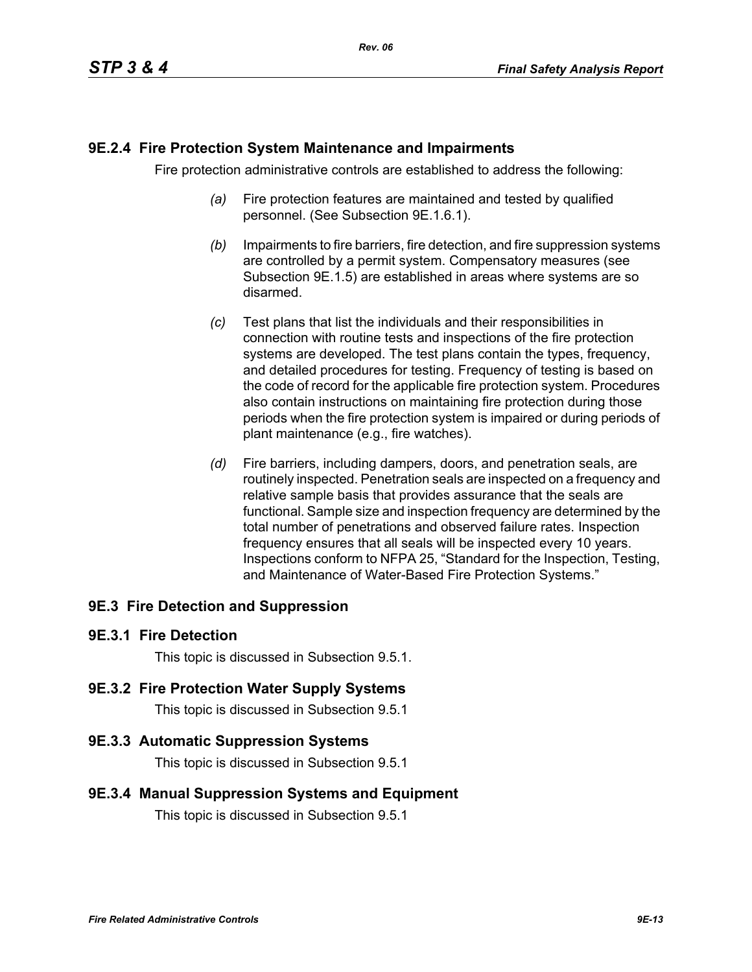### **9E.2.4 Fire Protection System Maintenance and Impairments**

Fire protection administrative controls are established to address the following:

- *(a)* Fire protection features are maintained and tested by qualified personnel. (See Subsection 9E.1.6.1).
- *(b)* Impairments to fire barriers, fire detection, and fire suppression systems are controlled by a permit system. Compensatory measures (see Subsection 9E.1.5) are established in areas where systems are so disarmed.
- *(c)* Test plans that list the individuals and their responsibilities in connection with routine tests and inspections of the fire protection systems are developed. The test plans contain the types, frequency, and detailed procedures for testing. Frequency of testing is based on the code of record for the applicable fire protection system. Procedures also contain instructions on maintaining fire protection during those periods when the fire protection system is impaired or during periods of plant maintenance (e.g., fire watches).
- *(d)* Fire barriers, including dampers, doors, and penetration seals, are routinely inspected. Penetration seals are inspected on a frequency and relative sample basis that provides assurance that the seals are functional. Sample size and inspection frequency are determined by the total number of penetrations and observed failure rates. Inspection frequency ensures that all seals will be inspected every 10 years. Inspections conform to NFPA 25, "Standard for the Inspection, Testing, and Maintenance of Water-Based Fire Protection Systems."

## **9E.3 Fire Detection and Suppression**

#### **9E.3.1 Fire Detection**

This topic is discussed in Subsection 9.5.1.

#### **9E.3.2 Fire Protection Water Supply Systems**

This topic is discussed in Subsection 9.5.1

#### **9E.3.3 Automatic Suppression Systems**

This topic is discussed in Subsection 9.5.1

#### **9E.3.4 Manual Suppression Systems and Equipment**

This topic is discussed in Subsection 9.5.1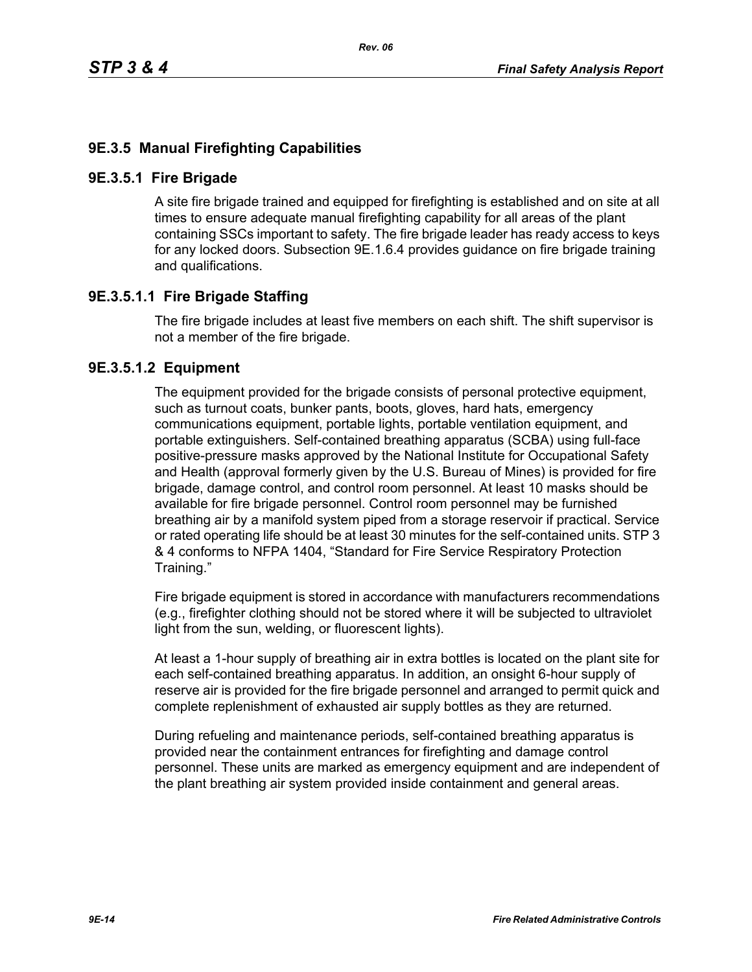# **9E.3.5 Manual Firefighting Capabilities**

#### **9E.3.5.1 Fire Brigade**

A site fire brigade trained and equipped for firefighting is established and on site at all times to ensure adequate manual firefighting capability for all areas of the plant containing SSCs important to safety. The fire brigade leader has ready access to keys for any locked doors. Subsection 9E.1.6.4 provides guidance on fire brigade training and qualifications.

## **9E.3.5.1.1 Fire Brigade Staffing**

The fire brigade includes at least five members on each shift. The shift supervisor is not a member of the fire brigade.

### **9E.3.5.1.2 Equipment**

The equipment provided for the brigade consists of personal protective equipment, such as turnout coats, bunker pants, boots, gloves, hard hats, emergency communications equipment, portable lights, portable ventilation equipment, and portable extinguishers. Self-contained breathing apparatus (SCBA) using full-face positive-pressure masks approved by the National Institute for Occupational Safety and Health (approval formerly given by the U.S. Bureau of Mines) is provided for fire brigade, damage control, and control room personnel. At least 10 masks should be available for fire brigade personnel. Control room personnel may be furnished breathing air by a manifold system piped from a storage reservoir if practical. Service or rated operating life should be at least 30 minutes for the self-contained units. STP 3 & 4 conforms to NFPA 1404, "Standard for Fire Service Respiratory Protection Training."

Fire brigade equipment is stored in accordance with manufacturers recommendations (e.g., firefighter clothing should not be stored where it will be subjected to ultraviolet light from the sun, welding, or fluorescent lights).

At least a 1-hour supply of breathing air in extra bottles is located on the plant site for each self-contained breathing apparatus. In addition, an onsight 6-hour supply of reserve air is provided for the fire brigade personnel and arranged to permit quick and complete replenishment of exhausted air supply bottles as they are returned.

During refueling and maintenance periods, self-contained breathing apparatus is provided near the containment entrances for firefighting and damage control personnel. These units are marked as emergency equipment and are independent of the plant breathing air system provided inside containment and general areas.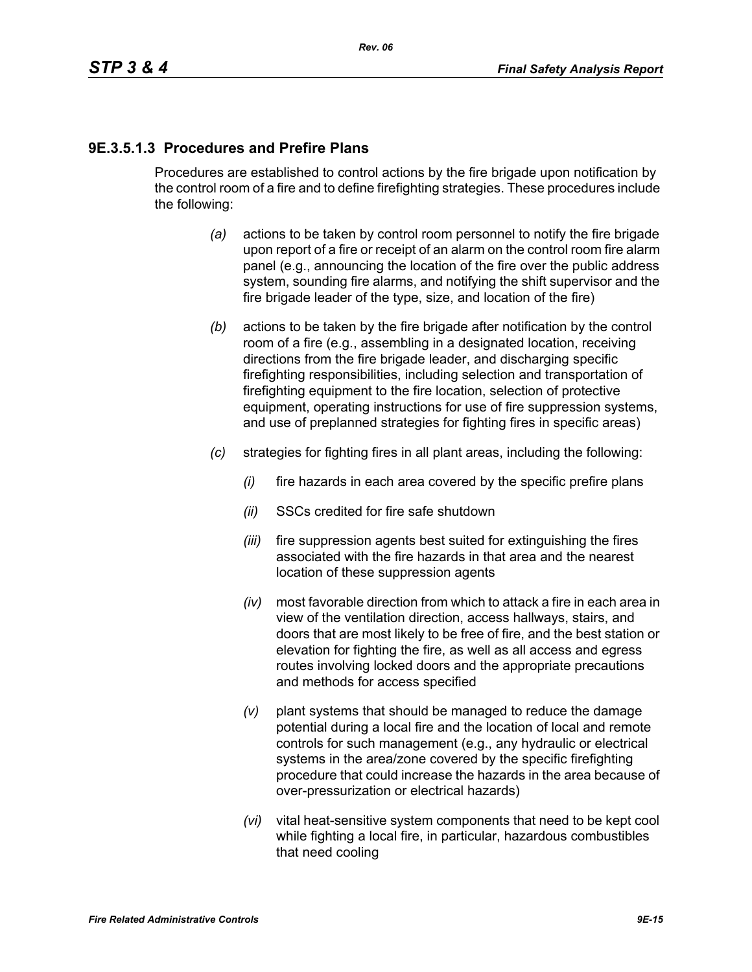# **9E.3.5.1.3 Procedures and Prefire Plans**

Procedures are established to control actions by the fire brigade upon notification by the control room of a fire and to define firefighting strategies. These procedures include the following:

- *(a)* actions to be taken by control room personnel to notify the fire brigade upon report of a fire or receipt of an alarm on the control room fire alarm panel (e.g., announcing the location of the fire over the public address system, sounding fire alarms, and notifying the shift supervisor and the fire brigade leader of the type, size, and location of the fire)
- *(b)* actions to be taken by the fire brigade after notification by the control room of a fire (e.g., assembling in a designated location, receiving directions from the fire brigade leader, and discharging specific firefighting responsibilities, including selection and transportation of firefighting equipment to the fire location, selection of protective equipment, operating instructions for use of fire suppression systems, and use of preplanned strategies for fighting fires in specific areas)
- *(c)* strategies for fighting fires in all plant areas, including the following:
	- *(i)* fire hazards in each area covered by the specific prefire plans
	- *(ii)* SSCs credited for fire safe shutdown
	- *(iii)* fire suppression agents best suited for extinguishing the fires associated with the fire hazards in that area and the nearest location of these suppression agents
	- *(iv)* most favorable direction from which to attack a fire in each area in view of the ventilation direction, access hallways, stairs, and doors that are most likely to be free of fire, and the best station or elevation for fighting the fire, as well as all access and egress routes involving locked doors and the appropriate precautions and methods for access specified
	- *(v)* plant systems that should be managed to reduce the damage potential during a local fire and the location of local and remote controls for such management (e.g., any hydraulic or electrical systems in the area/zone covered by the specific firefighting procedure that could increase the hazards in the area because of over-pressurization or electrical hazards)
	- *(vi)* vital heat-sensitive system components that need to be kept cool while fighting a local fire, in particular, hazardous combustibles that need cooling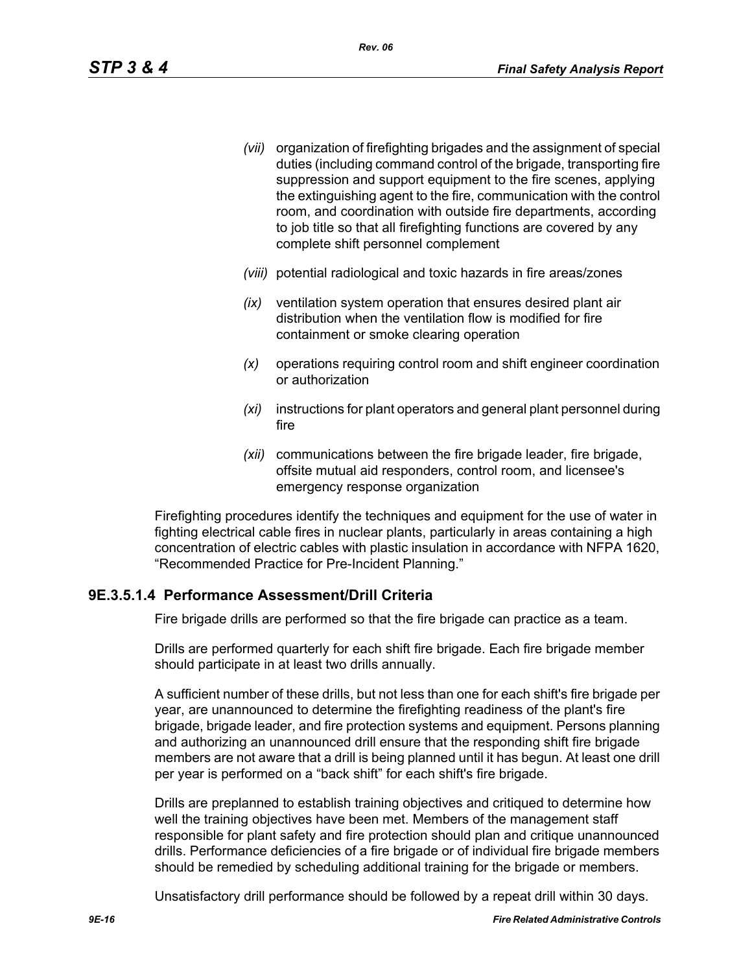- *(vii)* organization of firefighting brigades and the assignment of special duties (including command control of the brigade, transporting fire suppression and support equipment to the fire scenes, applying the extinguishing agent to the fire, communication with the control room, and coordination with outside fire departments, according to job title so that all firefighting functions are covered by any complete shift personnel complement
- *(viii)* potential radiological and toxic hazards in fire areas/zones
- *(ix)* ventilation system operation that ensures desired plant air distribution when the ventilation flow is modified for fire containment or smoke clearing operation
- *(x)* operations requiring control room and shift engineer coordination or authorization
- *(xi)* instructions for plant operators and general plant personnel during fire
- *(xii)* communications between the fire brigade leader, fire brigade, offsite mutual aid responders, control room, and licensee's emergency response organization

Firefighting procedures identify the techniques and equipment for the use of water in fighting electrical cable fires in nuclear plants, particularly in areas containing a high concentration of electric cables with plastic insulation in accordance with NFPA 1620, "Recommended Practice for Pre-Incident Planning."

## **9E.3.5.1.4 Performance Assessment/Drill Criteria**

Fire brigade drills are performed so that the fire brigade can practice as a team.

Drills are performed quarterly for each shift fire brigade. Each fire brigade member should participate in at least two drills annually.

A sufficient number of these drills, but not less than one for each shift's fire brigade per year, are unannounced to determine the firefighting readiness of the plant's fire brigade, brigade leader, and fire protection systems and equipment. Persons planning and authorizing an unannounced drill ensure that the responding shift fire brigade members are not aware that a drill is being planned until it has begun. At least one drill per year is performed on a "back shift" for each shift's fire brigade.

Drills are preplanned to establish training objectives and critiqued to determine how well the training objectives have been met. Members of the management staff responsible for plant safety and fire protection should plan and critique unannounced drills. Performance deficiencies of a fire brigade or of individual fire brigade members should be remedied by scheduling additional training for the brigade or members.

Unsatisfactory drill performance should be followed by a repeat drill within 30 days.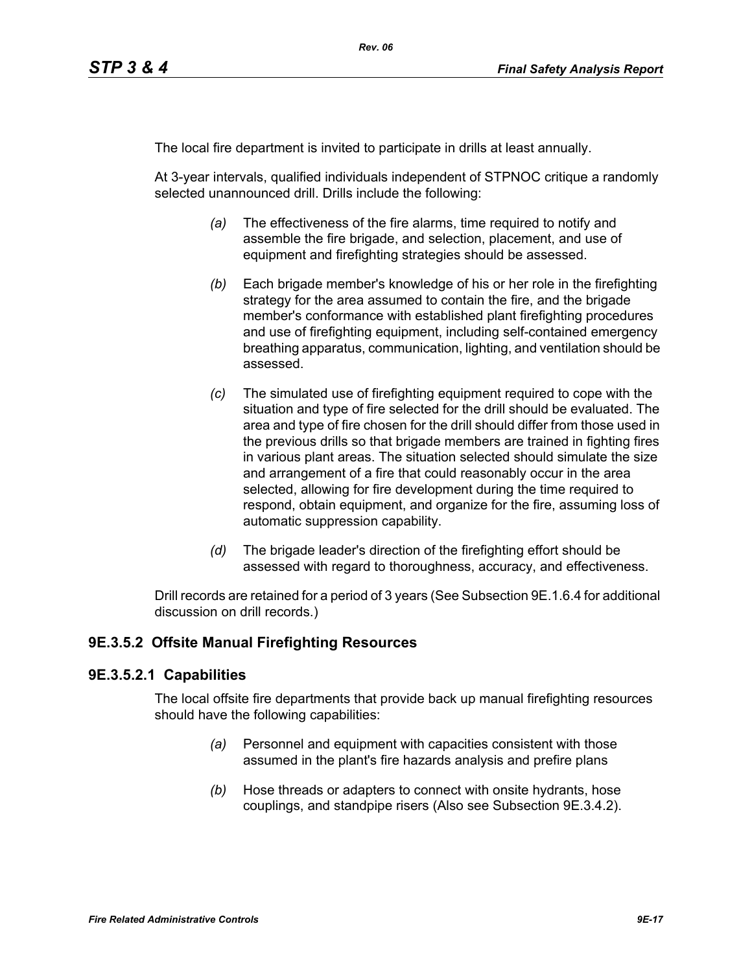The local fire department is invited to participate in drills at least annually.

At 3-year intervals, qualified individuals independent of STPNOC critique a randomly selected unannounced drill. Drills include the following:

- *(a)* The effectiveness of the fire alarms, time required to notify and assemble the fire brigade, and selection, placement, and use of equipment and firefighting strategies should be assessed.
- *(b)* Each brigade member's knowledge of his or her role in the firefighting strategy for the area assumed to contain the fire, and the brigade member's conformance with established plant firefighting procedures and use of firefighting equipment, including self-contained emergency breathing apparatus, communication, lighting, and ventilation should be assessed.
- *(c)* The simulated use of firefighting equipment required to cope with the situation and type of fire selected for the drill should be evaluated. The area and type of fire chosen for the drill should differ from those used in the previous drills so that brigade members are trained in fighting fires in various plant areas. The situation selected should simulate the size and arrangement of a fire that could reasonably occur in the area selected, allowing for fire development during the time required to respond, obtain equipment, and organize for the fire, assuming loss of automatic suppression capability.
- *(d)* The brigade leader's direction of the firefighting effort should be assessed with regard to thoroughness, accuracy, and effectiveness.

Drill records are retained for a period of 3 years (See Subsection 9E.1.6.4 for additional discussion on drill records.)

## **9E.3.5.2 Offsite Manual Firefighting Resources**

#### **9E.3.5.2.1 Capabilities**

The local offsite fire departments that provide back up manual firefighting resources should have the following capabilities:

- *(a)* Personnel and equipment with capacities consistent with those assumed in the plant's fire hazards analysis and prefire plans
- *(b)* Hose threads or adapters to connect with onsite hydrants, hose couplings, and standpipe risers (Also see Subsection 9E.3.4.2).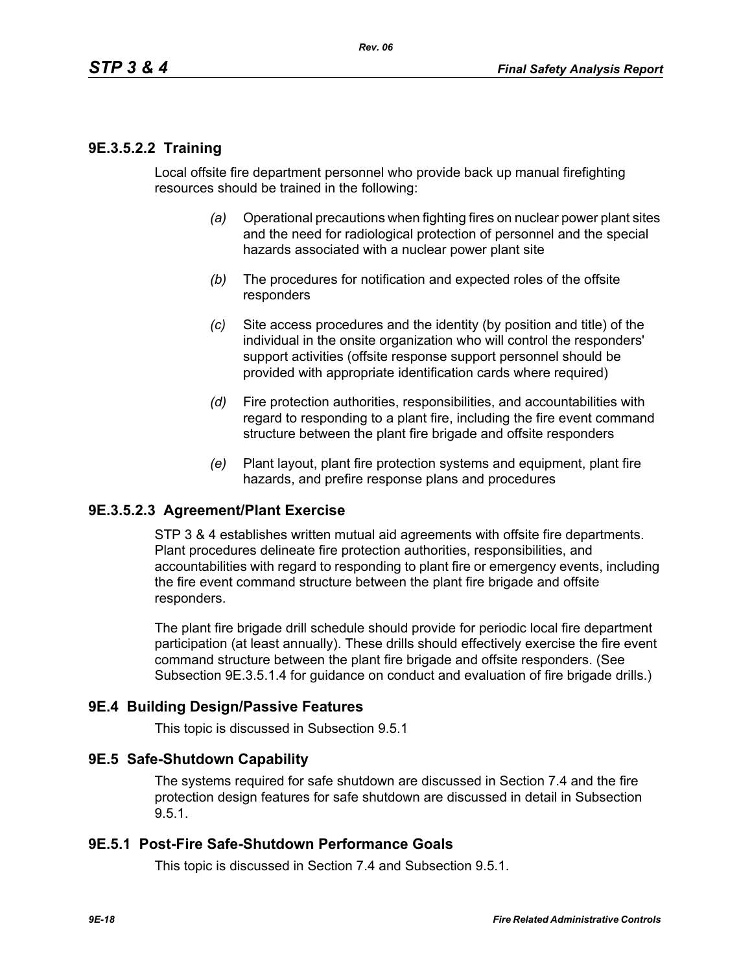### **9E.3.5.2.2 Training**

Local offsite fire department personnel who provide back up manual firefighting resources should be trained in the following:

- *(a)* Operational precautions when fighting fires on nuclear power plant sites and the need for radiological protection of personnel and the special hazards associated with a nuclear power plant site
- *(b)* The procedures for notification and expected roles of the offsite responders
- *(c)* Site access procedures and the identity (by position and title) of the individual in the onsite organization who will control the responders' support activities (offsite response support personnel should be provided with appropriate identification cards where required)
- *(d)* Fire protection authorities, responsibilities, and accountabilities with regard to responding to a plant fire, including the fire event command structure between the plant fire brigade and offsite responders
- *(e)* Plant layout, plant fire protection systems and equipment, plant fire hazards, and prefire response plans and procedures

#### **9E.3.5.2.3 Agreement/Plant Exercise**

STP 3 & 4 establishes written mutual aid agreements with offsite fire departments. Plant procedures delineate fire protection authorities, responsibilities, and accountabilities with regard to responding to plant fire or emergency events, including the fire event command structure between the plant fire brigade and offsite responders.

The plant fire brigade drill schedule should provide for periodic local fire department participation (at least annually). These drills should effectively exercise the fire event command structure between the plant fire brigade and offsite responders. (See Subsection 9E.3.5.1.4 for guidance on conduct and evaluation of fire brigade drills.)

#### **9E.4 Building Design/Passive Features**

This topic is discussed in Subsection 9.5.1

#### **9E.5 Safe-Shutdown Capability**

The systems required for safe shutdown are discussed in Section 7.4 and the fire protection design features for safe shutdown are discussed in detail in Subsection 9.5.1.

#### **9E.5.1 Post-Fire Safe-Shutdown Performance Goals**

This topic is discussed in Section 7.4 and Subsection 9.5.1.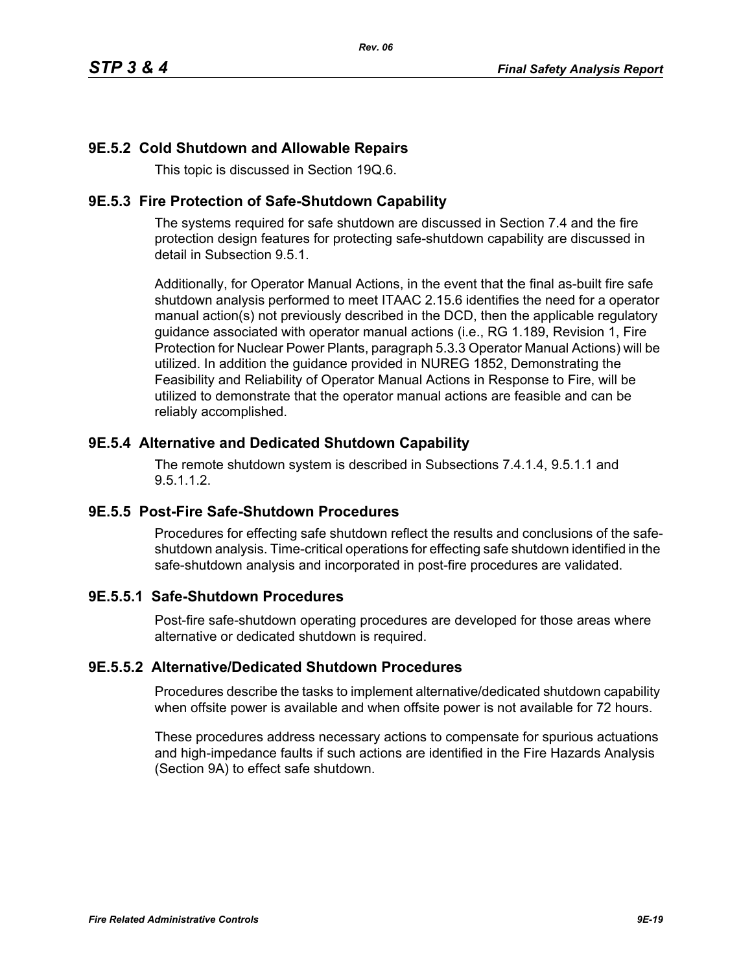# **9E.5.2 Cold Shutdown and Allowable Repairs**

This topic is discussed in Section 19Q.6.

### **9E.5.3 Fire Protection of Safe-Shutdown Capability**

The systems required for safe shutdown are discussed in Section 7.4 and the fire protection design features for protecting safe-shutdown capability are discussed in detail in Subsection 9.5.1.

Additionally, for Operator Manual Actions, in the event that the final as-built fire safe shutdown analysis performed to meet ITAAC 2.15.6 identifies the need for a operator manual action(s) not previously described in the DCD, then the applicable regulatory guidance associated with operator manual actions (i.e., RG 1.189, Revision 1, Fire Protection for Nuclear Power Plants, paragraph 5.3.3 Operator Manual Actions) will be utilized. In addition the guidance provided in NUREG 1852, Demonstrating the Feasibility and Reliability of Operator Manual Actions in Response to Fire, will be utilized to demonstrate that the operator manual actions are feasible and can be reliably accomplished.

## **9E.5.4 Alternative and Dedicated Shutdown Capability**

The remote shutdown system is described in Subsections 7.4.1.4, 9.5.1.1 and 9.5.1.1.2.

## **9E.5.5 Post-Fire Safe-Shutdown Procedures**

Procedures for effecting safe shutdown reflect the results and conclusions of the safeshutdown analysis. Time-critical operations for effecting safe shutdown identified in the safe-shutdown analysis and incorporated in post-fire procedures are validated.

## **9E.5.5.1 Safe-Shutdown Procedures**

Post-fire safe-shutdown operating procedures are developed for those areas where alternative or dedicated shutdown is required.

#### **9E.5.5.2 Alternative/Dedicated Shutdown Procedures**

Procedures describe the tasks to implement alternative/dedicated shutdown capability when offsite power is available and when offsite power is not available for 72 hours.

These procedures address necessary actions to compensate for spurious actuations and high-impedance faults if such actions are identified in the Fire Hazards Analysis (Section 9A) to effect safe shutdown.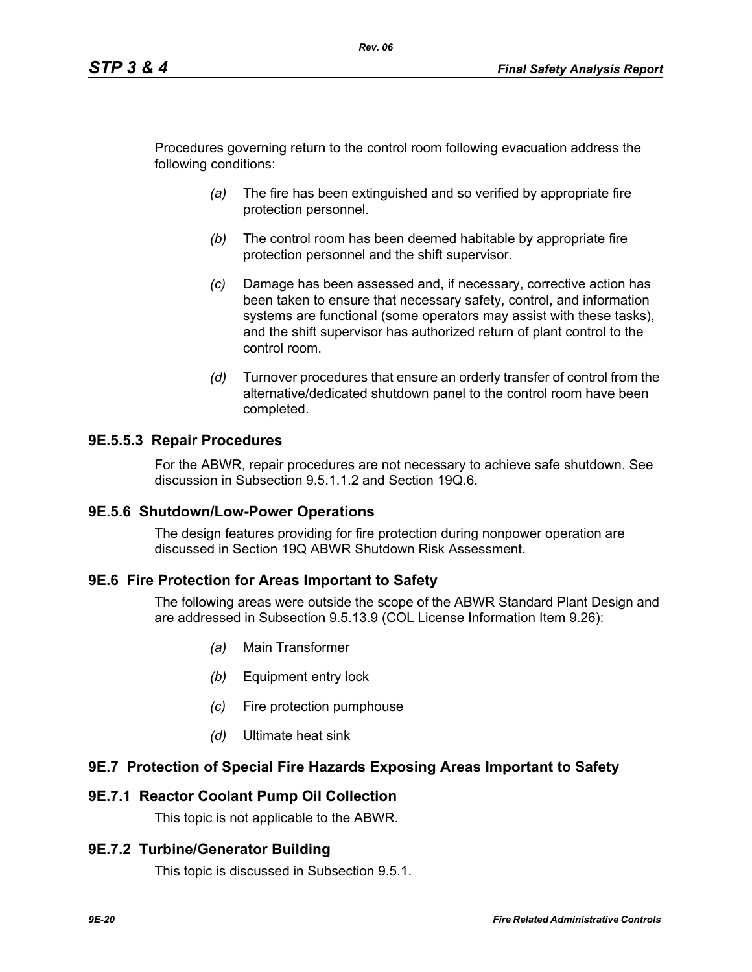Procedures governing return to the control room following evacuation address the following conditions:

*Rev. 06*

- *(a)* The fire has been extinguished and so verified by appropriate fire protection personnel.
- *(b)* The control room has been deemed habitable by appropriate fire protection personnel and the shift supervisor.
- *(c)* Damage has been assessed and, if necessary, corrective action has been taken to ensure that necessary safety, control, and information systems are functional (some operators may assist with these tasks), and the shift supervisor has authorized return of plant control to the control room.
- *(d)* Turnover procedures that ensure an orderly transfer of control from the alternative/dedicated shutdown panel to the control room have been completed.

### **9E.5.5.3 Repair Procedures**

For the ABWR, repair procedures are not necessary to achieve safe shutdown. See discussion in Subsection 9.5.1.1.2 and Section 19Q.6.

#### **9E.5.6 Shutdown/Low-Power Operations**

The design features providing for fire protection during nonpower operation are discussed in Section 19Q ABWR Shutdown Risk Assessment.

#### **9E.6 Fire Protection for Areas Important to Safety**

The following areas were outside the scope of the ABWR Standard Plant Design and are addressed in Subsection 9.5.13.9 (COL License Information Item 9.26):

- *(a)* Main Transformer
- *(b)* Equipment entry lock
- *(c)* Fire protection pumphouse
- *(d)* Ultimate heat sink

#### **9E.7 Protection of Special Fire Hazards Exposing Areas Important to Safety**

#### **9E.7.1 Reactor Coolant Pump Oil Collection**

This topic is not applicable to the ABWR.

#### **9E.7.2 Turbine/Generator Building**

This topic is discussed in Subsection 9.5.1.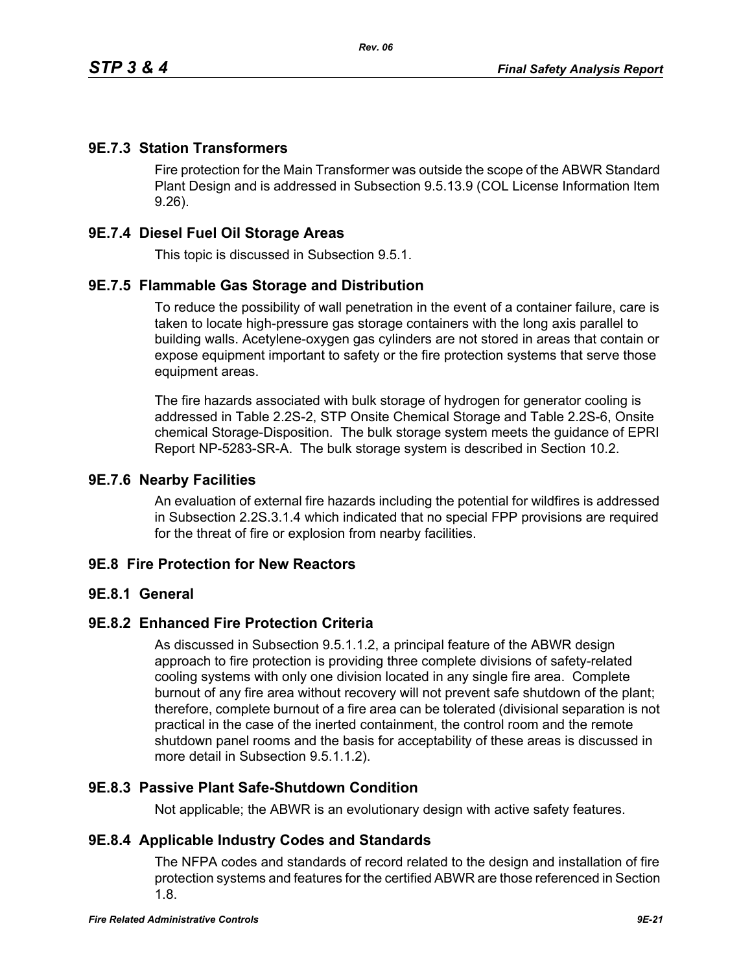### **9E.7.3 Station Transformers**

Fire protection for the Main Transformer was outside the scope of the ABWR Standard Plant Design and is addressed in Subsection 9.5.13.9 (COL License Information Item 9.26).

### **9E.7.4 Diesel Fuel Oil Storage Areas**

This topic is discussed in Subsection 9.5.1.

### **9E.7.5 Flammable Gas Storage and Distribution**

To reduce the possibility of wall penetration in the event of a container failure, care is taken to locate high-pressure gas storage containers with the long axis parallel to building walls. Acetylene-oxygen gas cylinders are not stored in areas that contain or expose equipment important to safety or the fire protection systems that serve those equipment areas.

The fire hazards associated with bulk storage of hydrogen for generator cooling is addressed in Table 2.2S-2, STP Onsite Chemical Storage and Table 2.2S-6, Onsite chemical Storage-Disposition. The bulk storage system meets the guidance of EPRI Report NP-5283-SR-A. The bulk storage system is described in Section 10.2.

#### **9E.7.6 Nearby Facilities**

An evaluation of external fire hazards including the potential for wildfires is addressed in Subsection 2.2S.3.1.4 which indicated that no special FPP provisions are required for the threat of fire or explosion from nearby facilities.

#### **9E.8 Fire Protection for New Reactors**

#### **9E.8.1 General**

### **9E.8.2 Enhanced Fire Protection Criteria**

As discussed in Subsection 9.5.1.1.2, a principal feature of the ABWR design approach to fire protection is providing three complete divisions of safety-related cooling systems with only one division located in any single fire area. Complete burnout of any fire area without recovery will not prevent safe shutdown of the plant; therefore, complete burnout of a fire area can be tolerated (divisional separation is not practical in the case of the inerted containment, the control room and the remote shutdown panel rooms and the basis for acceptability of these areas is discussed in more detail in Subsection 9.5.1.1.2).

### **9E.8.3 Passive Plant Safe-Shutdown Condition**

Not applicable; the ABWR is an evolutionary design with active safety features.

#### **9E.8.4 Applicable Industry Codes and Standards**

The NFPA codes and standards of record related to the design and installation of fire protection systems and features for the certified ABWR are those referenced in Section 1.8.